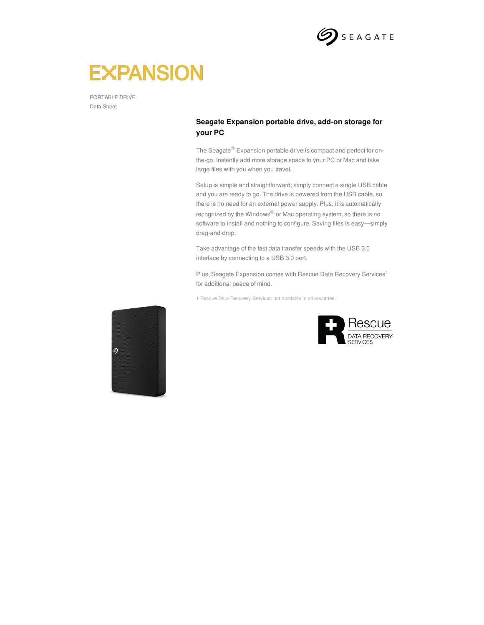

# **EXPANSION**

PORTABLE DRIVE Data Sheet

### **Seagate Expansion portable drive, add-on storage for your PC**

The Seagate<sup>®</sup> Expansion portable drive is compact and perfect for onthe-go. Instantly add more storage space to your PC or Mac and take large files with you when you travel.

Setup is simple and straightforward; simply connect a single USB cable and you are ready to go. The drive is powered from the USB cable, so there is no need for an external power supply. Plus, it is automatically recognized by the Windows® or Mac operating system, so there is no software to install and nothing to configure. Saving files is easy—simply drag-and-drop.

Take advantage of the fast data transfer speeds with the USB 3.0 interface by connecting to a USB 3.0 port.

Plus, Seagate Expansion comes with Rescue Data Recovery Services<sup>1</sup> for additional peace of mind.

1 Rescue Data Recovery Services not available in all countries.